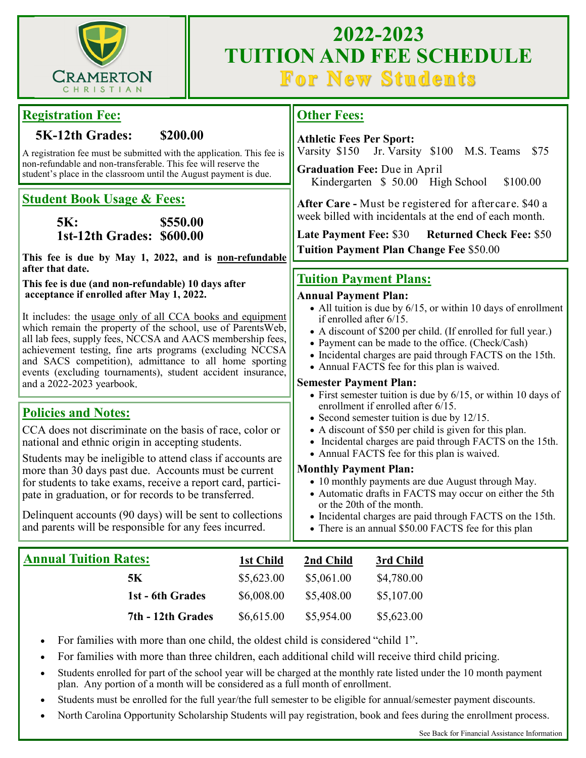

# **2022-2023 TUITION AND FEE SCHEDULE<br>For New Students**

| <b>Registration Fee:</b>                                                                                                                                                                                                                                                                                                                                                                                                                                                                                                                                                                                                                                                                  | <b>Other Fees:</b>                                                                                                                                                                                                                                                                                                                                                                                                                                                                                                                                                                                                                                                                                                                         |
|-------------------------------------------------------------------------------------------------------------------------------------------------------------------------------------------------------------------------------------------------------------------------------------------------------------------------------------------------------------------------------------------------------------------------------------------------------------------------------------------------------------------------------------------------------------------------------------------------------------------------------------------------------------------------------------------|--------------------------------------------------------------------------------------------------------------------------------------------------------------------------------------------------------------------------------------------------------------------------------------------------------------------------------------------------------------------------------------------------------------------------------------------------------------------------------------------------------------------------------------------------------------------------------------------------------------------------------------------------------------------------------------------------------------------------------------------|
| <b>5K-12th Grades:</b><br>\$200.00<br>A registration fee must be submitted with the application. This fee is<br>non-refundable and non-transferable. This fee will reserve the<br>student's place in the classroom until the August payment is due.                                                                                                                                                                                                                                                                                                                                                                                                                                       | <b>Athletic Fees Per Sport:</b><br>Varsity \$150<br>Jr. Varsity \$100 M.S. Teams<br>\$75<br>Graduation Fee: Due in April<br>Kindergarten \$50.00 High School<br>\$100.00                                                                                                                                                                                                                                                                                                                                                                                                                                                                                                                                                                   |
| <b>Student Book Usage &amp; Fees:</b><br>\$550.00<br><b>5K:</b><br>1st-12th Grades: \$600.00<br>This fee is due by May 1, 2022, and is non-refundable<br>after that date.<br>This fee is due (and non-refundable) 10 days after<br>acceptance if enrolled after May 1, 2022.<br>It includes: the usage only of all CCA books and equipment<br>which remain the property of the school, use of ParentsWeb,<br>all lab fees, supply fees, NCCSA and AACS membership fees,<br>achievement testing, fine arts programs (excluding NCCSA<br>and SACS competition), admittance to all home sporting<br>events (excluding tournaments), student accident insurance,<br>and a 2022-2023 yearbook. | After Care - Must be registered for aftercare. \$40 a<br>week billed with incidentals at the end of each month.<br><b>Late Payment Fee: \$30</b><br><b>Returned Check Fee: \$50</b><br><b>Tuition Payment Plan Change Fee \$50.00</b><br><b>Tuition Payment Plans:</b><br><b>Annual Payment Plan:</b><br>• All tuition is due by $6/15$ , or within 10 days of enrollment<br>if enrolled after 6/15.<br>• A discount of \$200 per child. (If enrolled for full year.)<br>• Payment can be made to the office. (Check/Cash)<br>• Incidental charges are paid through FACTS on the 15th.<br>• Annual FACTS fee for this plan is waived.<br><b>Semester Payment Plan:</b><br>• First semester tuition is due by $6/15$ , or within 10 days of |
| <b>Policies and Notes:</b><br>CCA does not discriminate on the basis of race, color or<br>national and ethnic origin in accepting students.<br>Students may be ineligible to attend class if accounts are<br>more than 30 days past due. Accounts must be current<br>for students to take exams, receive a report card, partici-<br>pate in graduation, or for records to be transferred.<br>Delinquent accounts (90 days) will be sent to collections<br>and parents will be responsible for any fees incurred.                                                                                                                                                                          | enrollment if enrolled after 6/15.<br>• Second semester tuition is due by 12/15.<br>• A discount of \$50 per child is given for this plan.<br>• Incidental charges are paid through FACTS on the 15th.<br>• Annual FACTS fee for this plan is waived.<br><b>Monthly Payment Plan:</b><br>• 10 monthly payments are due August through May.<br>• Automatic drafts in FACTS may occur on either the 5th<br>or the 20th of the month.<br>• Incidental charges are paid through FACTS on the 15th.<br>• There is an annual \$50.00 FACTS fee for this plan                                                                                                                                                                                     |
| <b>Annual Tuition Rates:</b><br><b>5K</b><br>1st - 6th Grades                                                                                                                                                                                                                                                                                                                                                                                                                                                                                                                                                                                                                             | 1st Child<br>2nd Child<br>3rd Child<br>\$5,623.00<br>\$5,061.00<br>\$4,780.00<br>\$6,008.00<br>\$5,408.00<br>\$5,107.00                                                                                                                                                                                                                                                                                                                                                                                                                                                                                                                                                                                                                    |
| 7th - 12th Grades<br>For families with more than one child, the oldest child is considered "child 1".                                                                                                                                                                                                                                                                                                                                                                                                                                                                                                                                                                                     | \$6,615.00<br>\$5,954.00<br>\$5,623.00                                                                                                                                                                                                                                                                                                                                                                                                                                                                                                                                                                                                                                                                                                     |

- For families with more than three children, each additional child will receive third child pricing.
- Students enrolled for part of the school year will be charged at the monthly rate listed under the 10 month payment plan. Any portion of a month will be considered as a full month of enrollment.
- Students must be enrolled for the full year/the full semester to be eligible for annual/semester payment discounts.
- North Carolina Opportunity Scholarship Students will pay registration, book and fees during the enrollment process.